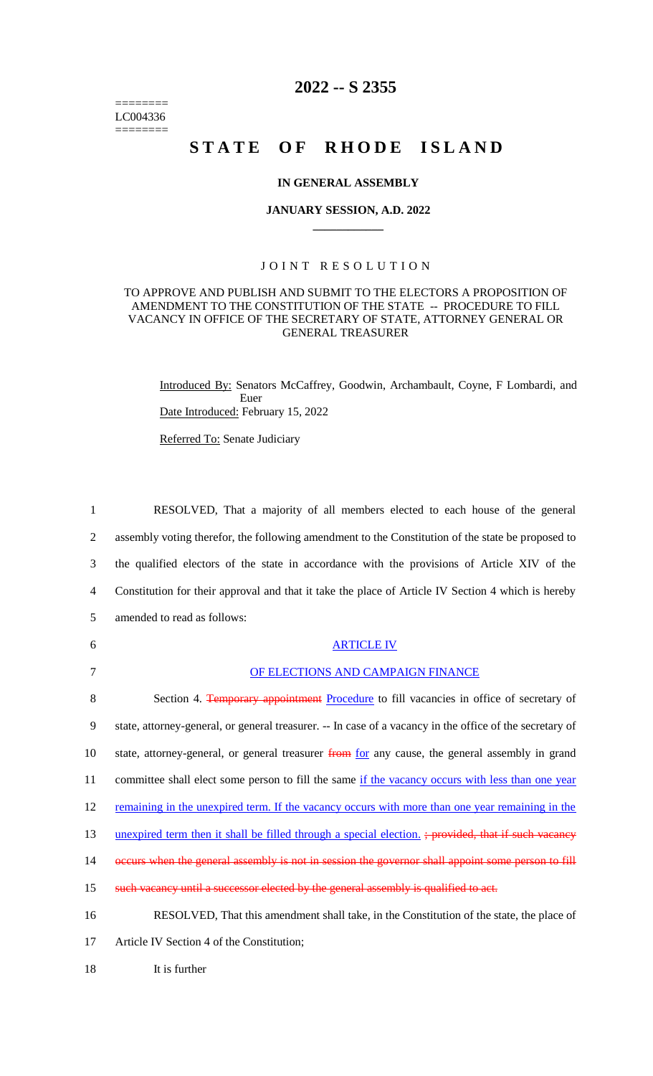======== LC004336 ========

# **2022 -- S 2355**

# STATE OF RHODE ISLAND

#### **IN GENERAL ASSEMBLY**

#### **JANUARY SESSION, A.D. 2022 \_\_\_\_\_\_\_\_\_\_\_\_**

### JOINT RESOLUTION

#### TO APPROVE AND PUBLISH AND SUBMIT TO THE ELECTORS A PROPOSITION OF AMENDMENT TO THE CONSTITUTION OF THE STATE -- PROCEDURE TO FILL VACANCY IN OFFICE OF THE SECRETARY OF STATE, ATTORNEY GENERAL OR GENERAL TREASURER

Introduced By: Senators McCaffrey, Goodwin, Archambault, Coyne, F Lombardi, and Euer Date Introduced: February 15, 2022

Referred To: Senate Judiciary

 RESOLVED, That a majority of all members elected to each house of the general assembly voting therefor, the following amendment to the Constitution of the state be proposed to the qualified electors of the state in accordance with the provisions of Article XIV of the Constitution for their approval and that it take the place of Article IV Section 4 which is hereby amended to read as follows: ARTICLE IV

## 7 OF ELECTIONS AND CAMPAIGN FINANCE

8 Section 4. Temporary appointment Procedure to fill vacancies in office of secretary of 9 state, attorney-general, or general treasurer. -- In case of a vacancy in the office of the secretary of 10 state, attorney-general, or general treasurer from for any cause, the general assembly in grand 11 committee shall elect some person to fill the same if the vacancy occurs with less than one year 12 remaining in the unexpired term. If the vacancy occurs with more than one year remaining in the 13 unexpired term then it shall be filled through a special election. ; provided, that if such vacancy 14 occurs when the general assembly is not in session the governor shall appoint some person to fill 15 such vacancy until a successor elected by the general assembly is qualified to act. 16 RESOLVED, That this amendment shall take, in the Constitution of the state, the place of

17 Article IV Section 4 of the Constitution;

18 It is further